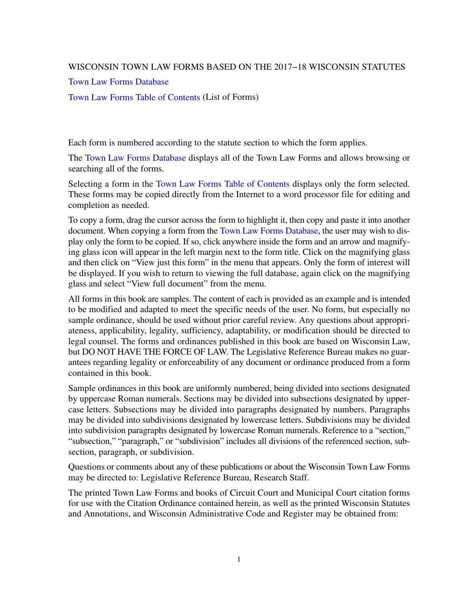## WISCONSIN TOWN LAW FORMS BASED ON THE 2017−18 WISCONSIN STATUTES

[Town Law Forms Database](https://docs-preview.legis.wisconsin.gov/document/townlawforms/forms)

[Town Law Forms Table of Contents](https://docs-preview.legis.wisconsin.gov/document/townlawforms/toc) (List of Forms)

Each form is numbered according to the statute section to which the form applies.

The [Town Law Forms Database](https://docs-preview.legis.wisconsin.gov/document/townlawforms/forms) displays all of the Town Law Forms and allows browsing or searching all of the forms.

Selecting a form in the [Town Law Forms Table of Contents](https://docs-preview.legis.wisconsin.gov/document/townlawforms/toc) displays only the form selected. These forms may be copied directly from the Internet to a word processor file for editing and completion as needed.

To copy a form, drag the cursor across the form to highlight it, then copy and paste it into another document. When copying a form from the [Town Law Forms Database](https://docs-preview.legis.wisconsin.gov/document/townlawforms/forms), the user may wish to display only the form to be copied. If so, click anywhere inside the form and an arrow and magnifying glass icon will appear in the left margin next to the form title. Click on the magnifying glass and then click on "View just this form" in the menu that appears. Only the form of interest will be displayed. If you wish to return to viewing the full database, again click on the magnifying glass and select "View full document" from the menu.

All forms in this book are samples. The content of each is provided as an example and is intended to be modified and adapted to meet the specific needs of the user. No form, but especially no sample ordinance, should be used without prior careful review. Any questions about appropriateness, applicability, legality, sufficiency, adaptability, or modification should be directed to legal counsel. The forms and ordinances published in this book are based on Wisconsin Law, but DO NOT HAVE THE FORCE OF LAW. The Legislative Reference Bureau makes no guarantees regarding legality or enforceability of any document or ordinance produced from a form contained in this book.

Sample ordinances in this book are uniformly numbered, being divided into sections designated by uppercase Roman numerals. Sections may be divided into subsections designated by uppercase letters. Subsections may be divided into paragraphs designated by numbers. Paragraphs may be divided into subdivisions designated by lowercase letters. Subdivisions may be divided into subdivision paragraphs designated by lowercase Roman numerals. Reference to a "section," "subsection," "paragraph," or "subdivision" includes all divisions of the referenced section, subsection, paragraph, or subdivision.

Questions or comments about any of these publications or about the Wisconsin Town Law Forms may be directed to: Legislative Reference Bureau, Research Staff.

The printed Town Law Forms and books of Circuit Court and Municipal Court citation forms for use with the Citation Ordinance contained herein, as well as the printed Wisconsin Statutes and Annotations, and Wisconsin Administrative Code and Register may be obtained from: